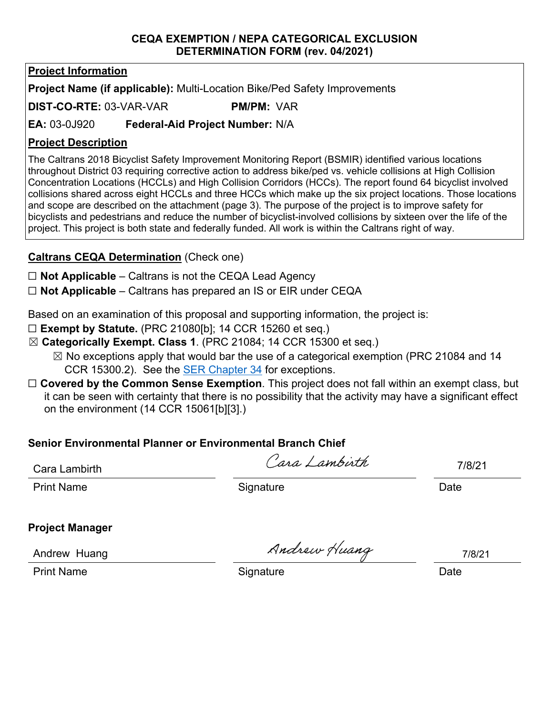#### **CEQA EXEMPTION / NEPA CATEGORICAL EXCLUSION DETERMINATION FORM (rev. 04/2021)**

# **Project Information**

**Project Name (if applicable):** Multi-Location Bike/Ped Safety Improvements

**DIST-CO-RTE:** 03-VAR-VAR **PM/PM:** VAR

### **EA:** 03-0J920 **Federal-Aid Project Number:** N/A

### **Project Description**

The Caltrans 2018 Bicyclist Safety Improvement Monitoring Report (BSMIR) identified various locations throughout District 03 requiring corrective action to address bike/ped vs. vehicle collisions at High Collision Concentration Locations (HCCLs) and High Collision Corridors (HCCs). The report found 64 bicyclist involved collisions shared across eight HCCLs and three HCCs which make up the six project locations. Those locations and scope are described on the attachment (page 3). The purpose of the project is to improve safety for bicyclists and pedestrians and reduce the number of bicyclist-involved collisions by sixteen over the life of the project. This project is both state and federally funded. All work is within the Caltrans right of way.

# **Caltrans CEQA Determination** (Check one)

☐ **Not Applicable** – Caltrans is not the CEQA Lead Agency

☐ **Not Applicable** – Caltrans has prepared an IS or EIR under CEQA

Based on an examination of this proposal and supporting information, the project is:

- ☐ **Exempt by Statute.** (PRC 21080[b]; 14 CCR 15260 et seq.)
- ☒ **Categorically Exempt. Class 1**. (PRC 21084; 14 CCR 15300 et seq.)
	- $\boxtimes$  No exceptions apply that would bar the use of a categorical exemption (PRC 21084 and 14 CCR 15300.2). See the [SER Chapter 34](https://dot.ca.gov/programs/environmental-analysis/standard-environmental-reference-ser/volume-1-guidance-for-compliance/ch-34-exemptions-to-ceqa#except) for exceptions.
- ☐ **Covered by the Common Sense Exemption**. This project does not fall within an exempt class, but it can be seen with certainty that there is no possibility that the activity may have a significant effect on the environment (14 CCR 15061[b][3].)

# **Senior Environmental Planner or Environmental Branch Chief**

Cara Lambirth

Cara Lambirth

7/8/21

Print Name Signature Date

**Project Manager**

Andrew Huang

Andrew Huang

7/8/21

Print Name Date Communication Communication Communication Communication Communication Communication Communication Communication Communication Communication Communication Communication Communication Communication Communicat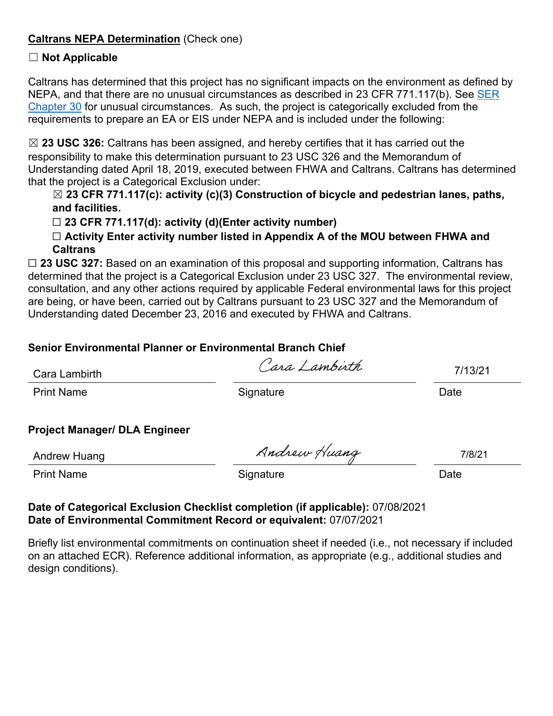#### **Caltrans NEPA Determination** (Check one)

#### ☐ **Not Applicable**

Caltrans has determined that this project has no significant impacts on the environment as defined by NEPA, and that there are no unusual circumstances as described in 23 CFR 771.117(b). See SER [Chapter 30](https://dot.ca.gov/programs/environmental-analysis/standard-environmental-reference-ser/volume-1-guidance-for-compliance/ch-30-categorical-exclusions#exception) for unusual circumstances. As such, the project is categorically excluded from the requirements to prepare an EA or EIS under NEPA and is included under the following:

☒ **23 USC 326:** Caltrans has been assigned, and hereby certifies that it has carried out the responsibility to make this determination pursuant to 23 USC 326 and the Memorandum of Understanding dated April 18, 2019, executed between FHWA and Caltrans. Caltrans has determined that the project is a Categorical Exclusion under:

#### ☒ **23 CFR 771.117(c): activity (c)(3) Construction of bicycle and pedestrian lanes, paths, and facilities.**

#### ☐ **23 CFR 771.117(d): activity (d)(Enter activity number)**

☐ **Activity Enter activity number listed in Appendix A of the MOU between FHWA and Caltrans**

☐ **23 USC 327:** Based on an examination of this proposal and supporting information, Caltrans has determined that the project is a Categorical Exclusion under 23 USC 327. The environmental review, consultation, and any other actions required by applicable Federal environmental laws for this project are being, or have been, carried out by Caltrans pursuant to 23 USC 327 and the Memorandum of Understanding dated December 23, 2016 and executed by FHWA and Caltrans.

# **Senior Environmental Planner or Environmental Branch Chief**

| Cara Lambirth     | Cara Lambirth | 7/13/21 |  |
|-------------------|---------------|---------|--|
| <b>Print Name</b> | Signature     | Date    |  |

#### **Project Manager/ DLA Engineer**

Andrew Huang

Andrew Huang

7/8/21

Print Name Signature Date

#### **Date of Categorical Exclusion Checklist completion (if applicable):** 07/08/2021 **Date of Environmental Commitment Record or equivalent:** 07/07/2021

Briefly list environmental commitments on continuation sheet if needed (i.e., not necessary if included on an attached ECR). Reference additional information, as appropriate (e.g., additional studies and design conditions).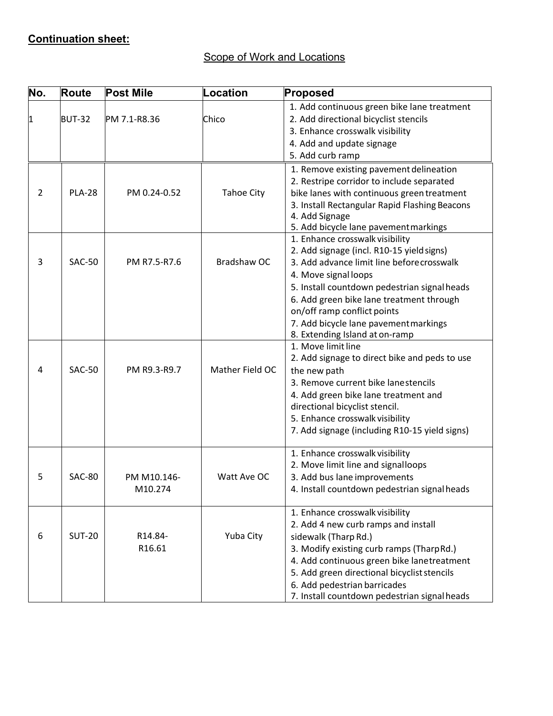# **Continuation sheet:**

# Scope of Work and Locations

| No. | <b>Route</b>  | <b>Post Mile</b>       | <b>Location</b>   | Proposed                                                                                                                                                                                                                                                                                                                                                 |
|-----|---------------|------------------------|-------------------|----------------------------------------------------------------------------------------------------------------------------------------------------------------------------------------------------------------------------------------------------------------------------------------------------------------------------------------------------------|
| 1   | <b>BUT-32</b> | PM 7.1-R8.36           | Chico             | 1. Add continuous green bike lane treatment<br>2. Add directional bicyclist stencils<br>3. Enhance crosswalk visibility<br>4. Add and update signage<br>5. Add curb ramp                                                                                                                                                                                 |
| 2   | <b>PLA-28</b> | PM 0.24-0.52           | <b>Tahoe City</b> | 1. Remove existing pavement delineation<br>2. Restripe corridor to include separated<br>bike lanes with continuous green treatment<br>3. Install Rectangular Rapid Flashing Beacons<br>4. Add Signage<br>5. Add bicycle lane pavement markings                                                                                                           |
| 3   | <b>SAC-50</b> | PM R7.5-R7.6           | Bradshaw OC       | 1. Enhance crosswalk visibility<br>2. Add signage (incl. R10-15 yield signs)<br>3. Add advance limit line before crosswalk<br>4. Move signal loops<br>5. Install countdown pedestrian signal heads<br>6. Add green bike lane treatment through<br>on/off ramp conflict points<br>7. Add bicycle lane pavement markings<br>8. Extending Island at on-ramp |
| 4   | <b>SAC-50</b> | PM R9.3-R9.7           | Mather Field OC   | 1. Move limit line<br>2. Add signage to direct bike and peds to use<br>the new path<br>3. Remove current bike lanestencils<br>4. Add green bike lane treatment and<br>directional bicyclist stencil.<br>5. Enhance crosswalk visibility<br>7. Add signage (including R10-15 yield signs)                                                                 |
| 5   | <b>SAC-80</b> | PM M10.146-<br>M10.274 | Watt Ave OC       | 1. Enhance crosswalk visibility<br>2. Move limit line and signalloops<br>3. Add bus lane improvements<br>4. Install countdown pedestrian signal heads                                                                                                                                                                                                    |
| 6   | <b>SUT-20</b> | R14.84-<br>R16.61      | Yuba City         | 1. Enhance crosswalk visibility<br>2. Add 4 new curb ramps and install<br>sidewalk (Tharp Rd.)<br>3. Modify existing curb ramps (TharpRd.)<br>4. Add continuous green bike lanetreatment<br>5. Add green directional bicyclist stencils<br>6. Add pedestrian barricades<br>7. Install countdown pedestrian signal heads                                  |